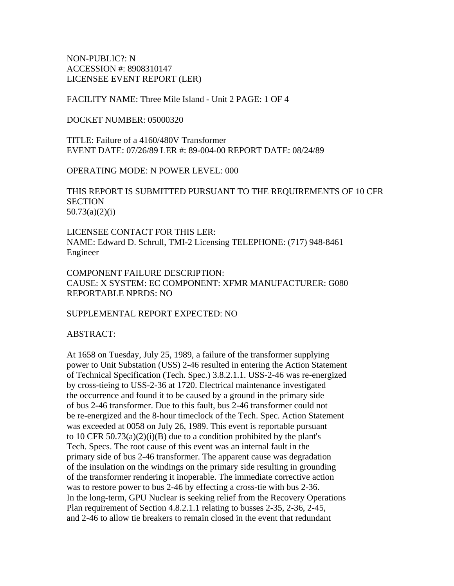NON-PUBLIC?: N ACCESSION #: 8908310147 LICENSEE EVENT REPORT (LER)

FACILITY NAME: Three Mile Island - Unit 2 PAGE: 1 OF 4

DOCKET NUMBER: 05000320

TITLE: Failure of a 4160/480V Transformer EVENT DATE: 07/26/89 LER #: 89-004-00 REPORT DATE: 08/24/89

OPERATING MODE: N POWER LEVEL: 000

THIS REPORT IS SUBMITTED PURSUANT TO THE REQUIREMENTS OF 10 CFR **SECTION** 50.73(a)(2)(i)

LICENSEE CONTACT FOR THIS LER: NAME: Edward D. Schrull, TMI-2 Licensing TELEPHONE: (717) 948-8461 Engineer

COMPONENT FAILURE DESCRIPTION: CAUSE: X SYSTEM: EC COMPONENT: XFMR MANUFACTURER: G080 REPORTABLE NPRDS: NO

SUPPLEMENTAL REPORT EXPECTED: NO

ABSTRACT:

At 1658 on Tuesday, July 25, 1989, a failure of the transformer supplying power to Unit Substation (USS) 2-46 resulted in entering the Action Statement of Technical Specification (Tech. Spec.) 3.8.2.1.1. USS-2-46 was re-energized by cross-tieing to USS-2-36 at 1720. Electrical maintenance investigated the occurrence and found it to be caused by a ground in the primary side of bus 2-46 transformer. Due to this fault, bus 2-46 transformer could not be re-energized and the 8-hour timeclock of the Tech. Spec. Action Statement was exceeded at 0058 on July 26, 1989. This event is reportable pursuant to 10 CFR  $50.73(a)(2)(i)(B)$  due to a condition prohibited by the plant's Tech. Specs. The root cause of this event was an internal fault in the primary side of bus 2-46 transformer. The apparent cause was degradation of the insulation on the windings on the primary side resulting in grounding of the transformer rendering it inoperable. The immediate corrective action was to restore power to bus 2-46 by effecting a cross-tie with bus 2-36. In the long-term, GPU Nuclear is seeking relief from the Recovery Operations Plan requirement of Section 4.8.2.1.1 relating to busses 2-35, 2-36, 2-45, and 2-46 to allow tie breakers to remain closed in the event that redundant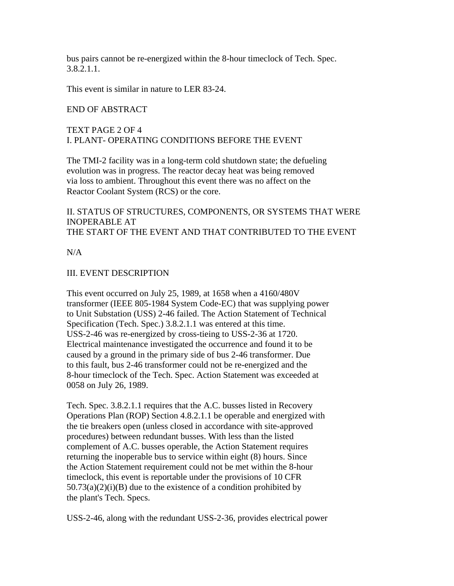bus pairs cannot be re-energized within the 8-hour timeclock of Tech. Spec. 3.8.2.1.1.

This event is similar in nature to LER 83-24.

#### END OF ABSTRACT

## TEXT PAGE 2 OF 4 I. PLANT- OPERATING CONDITIONS BEFORE THE EVENT

The TMI-2 facility was in a long-term cold shutdown state; the defueling evolution was in progress. The reactor decay heat was being removed via loss to ambient. Throughout this event there was no affect on the Reactor Coolant System (RCS) or the core.

## II. STATUS OF STRUCTURES, COMPONENTS, OR SYSTEMS THAT WERE INOPERABLE AT THE START OF THE EVENT AND THAT CONTRIBUTED TO THE EVENT

 $N/A$ 

### III. EVENT DESCRIPTION

This event occurred on July 25, 1989, at 1658 when a 4160/480V transformer (IEEE 805-1984 System Code-EC) that was supplying power to Unit Substation (USS) 2-46 failed. The Action Statement of Technical Specification (Tech. Spec.) 3.8.2.1.1 was entered at this time. USS-2-46 was re-energized by cross-tieing to USS-2-36 at 1720. Electrical maintenance investigated the occurrence and found it to be caused by a ground in the primary side of bus 2-46 transformer. Due to this fault, bus 2-46 transformer could not be re-energized and the 8-hour timeclock of the Tech. Spec. Action Statement was exceeded at 0058 on July 26, 1989.

Tech. Spec. 3.8.2.1.1 requires that the A.C. busses listed in Recovery Operations Plan (ROP) Section 4.8.2.1.1 be operable and energized with the tie breakers open (unless closed in accordance with site-approved procedures) between redundant busses. With less than the listed complement of A.C. busses operable, the Action Statement requires returning the inoperable bus to service within eight (8) hours. Since the Action Statement requirement could not be met within the 8-hour timeclock, this event is reportable under the provisions of 10 CFR  $50.73(a)(2)(i)(B)$  due to the existence of a condition prohibited by the plant's Tech. Specs.

USS-2-46, along with the redundant USS-2-36, provides electrical power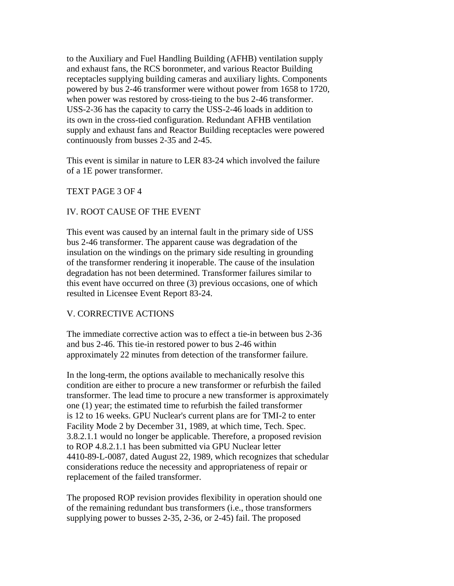to the Auxiliary and Fuel Handling Building (AFHB) ventilation supply and exhaust fans, the RCS boronmeter, and various Reactor Building receptacles supplying building cameras and auxiliary lights. Components powered by bus 2-46 transformer were without power from 1658 to 1720, when power was restored by cross-tieing to the bus 2-46 transformer. USS-2-36 has the capacity to carry the USS-2-46 loads in addition to its own in the cross-tied configuration. Redundant AFHB ventilation supply and exhaust fans and Reactor Building receptacles were powered continuously from busses 2-35 and 2-45.

This event is similar in nature to LER 83-24 which involved the failure of a 1E power transformer.

### TEXT PAGE 3 OF 4

### IV. ROOT CAUSE OF THE EVENT

This event was caused by an internal fault in the primary side of USS bus 2-46 transformer. The apparent cause was degradation of the insulation on the windings on the primary side resulting in grounding of the transformer rendering it inoperable. The cause of the insulation degradation has not been determined. Transformer failures similar to this event have occurred on three (3) previous occasions, one of which resulted in Licensee Event Report 83-24.

### V. CORRECTIVE ACTIONS

The immediate corrective action was to effect a tie-in between bus 2-36 and bus 2-46. This tie-in restored power to bus 2-46 within approximately 22 minutes from detection of the transformer failure.

In the long-term, the options available to mechanically resolve this condition are either to procure a new transformer or refurbish the failed transformer. The lead time to procure a new transformer is approximately one (1) year; the estimated time to refurbish the failed transformer is 12 to 16 weeks. GPU Nuclear's current plans are for TMI-2 to enter Facility Mode 2 by December 31, 1989, at which time, Tech. Spec. 3.8.2.1.1 would no longer be applicable. Therefore, a proposed revision to ROP 4.8.2.1.1 has been submitted via GPU Nuclear letter 4410-89-L-0087, dated August 22, 1989, which recognizes that schedular considerations reduce the necessity and appropriateness of repair or replacement of the failed transformer.

The proposed ROP revision provides flexibility in operation should one of the remaining redundant bus transformers (i.e., those transformers supplying power to busses 2-35, 2-36, or 2-45) fail. The proposed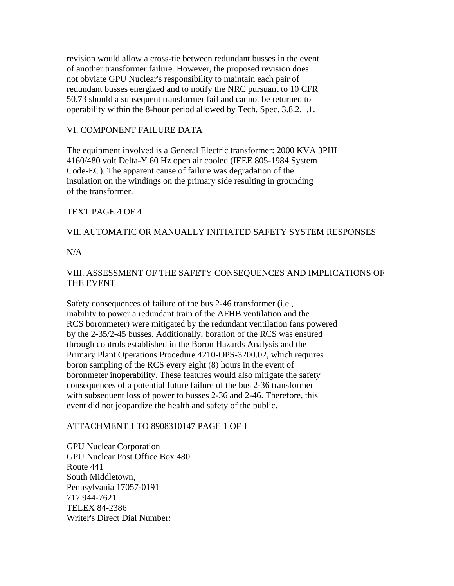revision would allow a cross-tie between redundant busses in the event of another transformer failure. However, the proposed revision does not obviate GPU Nuclear's responsibility to maintain each pair of redundant busses energized and to notify the NRC pursuant to 10 CFR 50.73 should a subsequent transformer fail and cannot be returned to operability within the 8-hour period allowed by Tech. Spec. 3.8.2.1.1.

## VI. COMPONENT FAILURE DATA

The equipment involved is a General Electric transformer: 2000 KVA 3PHI 4160/480 volt Delta-Y 60 Hz open air cooled (IEEE 805-1984 System Code-EC). The apparent cause of failure was degradation of the insulation on the windings on the primary side resulting in grounding of the transformer.

## TEXT PAGE 4 OF 4

## VII. AUTOMATIC OR MANUALLY INITIATED SAFETY SYSTEM RESPONSES

 $N/A$ 

# VIII. ASSESSMENT OF THE SAFETY CONSEQUENCES AND IMPLICATIONS OF THE EVENT

Safety consequences of failure of the bus 2-46 transformer (i.e., inability to power a redundant train of the AFHB ventilation and the RCS boronmeter) were mitigated by the redundant ventilation fans powered by the 2-35/2-45 busses. Additionally, boration of the RCS was ensured through controls established in the Boron Hazards Analysis and the Primary Plant Operations Procedure 4210-OPS-3200.02, which requires boron sampling of the RCS every eight (8) hours in the event of boronmeter inoperability. These features would also mitigate the safety consequences of a potential future failure of the bus 2-36 transformer with subsequent loss of power to busses 2-36 and 2-46. Therefore, this event did not jeopardize the health and safety of the public.

### ATTACHMENT 1 TO 8908310147 PAGE 1 OF 1

GPU Nuclear Corporation GPU Nuclear Post Office Box 480 Route 441 South Middletown, Pennsylvania 17057-0191 717 944-7621 TELEX 84-2386 Writer's Direct Dial Number: